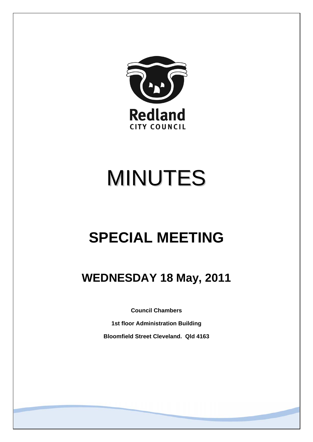

# MINUTES

## **SPECIAL MEETING**

### **WEDNESDAY 18 May, 2011**

**Council Chambers** 

**1st floor Administration Building Bloomfield Street Cleveland. Qld 4163**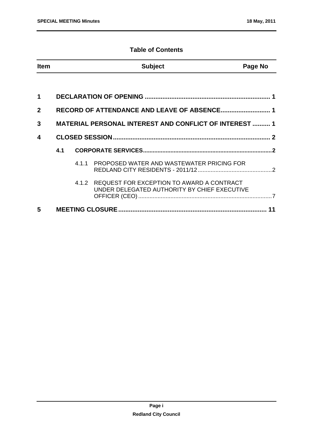#### **Table of Contents**

| Item | <b>Subject</b> | Page No |
|------|----------------|---------|
|      |                |         |

| 1              |     |                                                                                                 |  |
|----------------|-----|-------------------------------------------------------------------------------------------------|--|
| 2 <sup>1</sup> |     |                                                                                                 |  |
| 3              |     | <b>MATERIAL PERSONAL INTEREST AND CONFLICT OF INTEREST  1</b>                                   |  |
| 4              |     |                                                                                                 |  |
|                | 4.1 |                                                                                                 |  |
|                |     | 4.1.1 PROPOSED WATER AND WASTEWATER PRICING FOR                                                 |  |
|                |     | 4.1.2 REQUEST FOR EXCEPTION TO AWARD A CONTRACT<br>UNDER DELEGATED AUTHORITY BY CHIEF EXECUTIVE |  |
| 5              |     |                                                                                                 |  |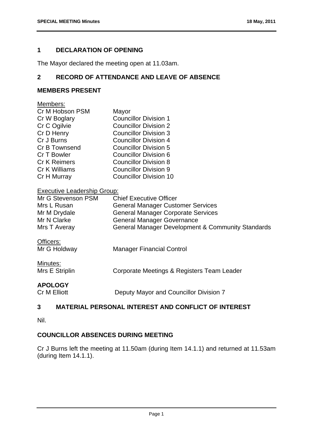#### <span id="page-2-0"></span>**1 DECLARATION OF OPENING**

The Mayor declared the meeting open at 11.03am.

#### **2 RECORD OF ATTENDANCE AND LEAVE OF ABSENCE**

#### **MEMBERS PRESENT**

| Members:                           |                                                   |
|------------------------------------|---------------------------------------------------|
| Cr M Hobson PSM                    | Mayor                                             |
| Cr W Boglary                       | <b>Councillor Division 1</b>                      |
| Cr C Ogilvie                       | <b>Councillor Division 2</b>                      |
| Cr D Henry                         | <b>Councillor Division 3</b>                      |
| Cr J Burns                         | Councillor Division 4                             |
| Cr B Townsend                      | <b>Councillor Division 5</b>                      |
| Cr T Bowler                        | Councillor Division 6                             |
| <b>Cr K Reimers</b>                | <b>Councillor Division 8</b>                      |
| Cr K Williams                      | <b>Councillor Division 9</b>                      |
| Cr H Murray                        | <b>Councillor Division 10</b>                     |
| <b>Executive Leadership Group:</b> |                                                   |
| Mr G Stevenson PSM                 | <b>Chief Executive Officer</b>                    |
| Mrs L Rusan                        | <b>General Manager Customer Services</b>          |
| Mr M Drydale                       | <b>General Manager Corporate Services</b>         |
| Mr N Clarke                        | <b>General Manager Governance</b>                 |
| Mrs T Averay                       | General Manager Development & Community Standards |
| Officers:                          |                                                   |

| Minutes:       |  |  |
|----------------|--|--|
| Mrs F Striplir |  |  |

| .              |                                            |
|----------------|--------------------------------------------|
| Mrs E Striplin | Corporate Meetings & Registers Team Leader |
|                |                                            |

#### **APOLOGY**

Cr M Elliott **Deputy Mayor and Councillor Division 7** 

#### **3 MATERIAL PERSONAL INTEREST AND CONFLICT OF INTEREST**

Nil.

#### **COUNCILLOR ABSENCES DURING MEETING**

Cr J Burns left the meeting at 11.50am (during Item 14.1.1) and returned at 11.53am (during Item 14.1.1).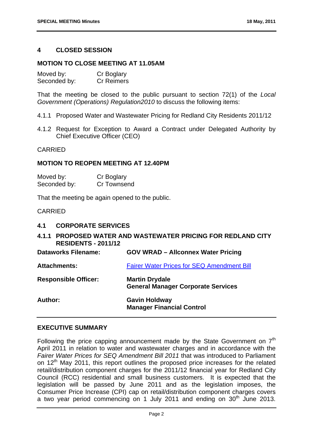#### <span id="page-3-0"></span>**4 CLOSED SESSION**

#### **MOTION TO CLOSE MEETING AT 11.05AM**

| Moved by:    | Cr Boglary        |
|--------------|-------------------|
| Seconded by: | <b>Cr Reimers</b> |

That the meeting be closed to the public pursuant to section 72(1) of the *Local Government (Operations) Regulation2010* to discuss the following items:

- 4.1.1 Proposed Water and Wastewater Pricing for Redland City Residents 2011/12
- 4.1.2 Request for Exception to Award a Contract under Delegated Authority by Chief Executive Officer (CEO)

#### CARRIED

#### **MOTION TO REOPEN MEETING AT 12.40PM**

| Moved by:    | Cr Boglary  |
|--------------|-------------|
| Seconded by: | Cr Townsend |

That the meeting be again opened to the public.

#### CARRIED

#### **4.1 CORPORATE SERVICES**

#### **4.1.1 PROPOSED WATER AND WASTEWATER PRICING FOR REDLAND CITY RESIDENTS - 2011/12**

| <b>Dataworks Filename:</b>  | <b>GOV WRAD - Allconnex Water Pricing</b>                          |
|-----------------------------|--------------------------------------------------------------------|
| <b>Attachments:</b>         | <b>Fairer Water Prices for SEQ Amendment Bill</b>                  |
| <b>Responsible Officer:</b> | <b>Martin Drydale</b><br><b>General Manager Corporate Services</b> |
| <b>Author:</b>              | <b>Gavin Holdway</b><br><b>Manager Financial Control</b>           |

#### **EXECUTIVE SUMMARY**

Following the price capping announcement made by the State Government on  $7<sup>th</sup>$ April 2011 in relation to water and wastewater charges and in accordance with the *Fairer Water Prices for SEQ Amendment Bill 2011* that was introduced to Parliament on 12<sup>th</sup> May 2011, this report outlines the proposed price increases for the related retail/distribution component charges for the 2011/12 financial year for Redland City Council (RCC) residential and small business customers. It is expected that the legislation will be passed by June 2011 and as the legislation imposes, the Consumer Price Increase (CPI) cap on retail/distribution component charges covers a two year period commencing on 1 July 2011 and ending on  $30<sup>th</sup>$  June 2013.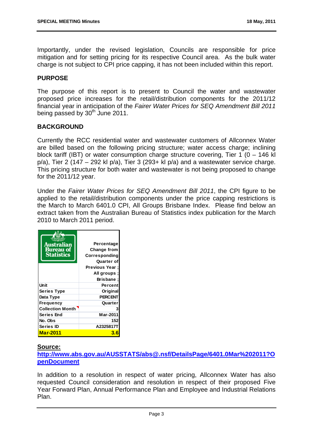Importantly, under the revised legislation, Councils are responsible for price mitigation and for setting pricing for its respective Council area. As the bulk water charge is not subject to CPI price capping, it has not been included within this report.

#### **PURPOSE**

The purpose of this report is to present to Council the water and wastewater proposed price increases for the retail/distribution components for the 2011/12 financial year in anticipation of the *Fairer Water Prices for SEQ Amendment Bill 2011* being passed by  $30<sup>th</sup>$  June 2011.

#### **BACKGROUND**

Currently the RCC residential water and wastewater customers of Allconnex Water are billed based on the following pricing structure; water access charge; inclining block tariff (IBT) or water consumption charge structure covering, Tier 1 ( $0 - 146$  kl  $p/a$ ), Tier 2 (147 – 292 kl  $p/a$ ), Tier 3 (293+ kl  $p/a$ ) and a wastewater service charge. This pricing structure for both water and wastewater is not being proposed to change for the 2011/12 year.

Under the *Fairer Water Prices for SEQ Amendment Bill 2011*, the CPI figure to be applied to the retail/distribution components under the price capping restrictions is the March to March 6401.0 CPI, All Groups Brisbane Index. Please find below an extract taken from the Australian Bureau of Statistics index publication for the March 2010 to March 2011 period.

| Australian<br><b>Bureau of</b><br><b>Statistics</b> | Percentage<br>Change from<br>Corresponding<br>Quarter of<br><b>Previous Year:</b><br>; All groups<br>Brisbane |
|-----------------------------------------------------|---------------------------------------------------------------------------------------------------------------|
| Unit                                                | Percent                                                                                                       |
| <b>Series Type</b>                                  | Original                                                                                                      |
| Data Type                                           | <b>PERCENT</b>                                                                                                |
| <b>Frequency</b>                                    | Quarter                                                                                                       |
| <b>Collection Month</b>                             |                                                                                                               |
| <b>Series End</b>                                   | Mar-2011                                                                                                      |
| No. Obs                                             | 152                                                                                                           |
| Series ID                                           | A2325817T                                                                                                     |
| Mar-2011                                            | 3.6                                                                                                           |

#### **Source:**

**[http://www.abs.gov.au/AUSSTATS/abs@.nsf/DetailsPage/6401.0Mar%202011?O](http://www.abs.gov.au/AUSSTATS/abs@.nsf/DetailsPage/6401.0Mar%202011?OpenDocument) [penDocument](http://www.abs.gov.au/AUSSTATS/abs@.nsf/DetailsPage/6401.0Mar%202011?OpenDocument)**

In addition to a resolution in respect of water pricing, Allconnex Water has also requested Council consideration and resolution in respect of their proposed Five Year Forward Plan, Annual Performance Plan and Employee and Industrial Relations Plan.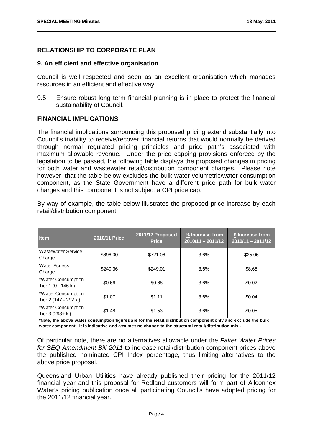#### **RELATIONSHIP TO CORPORATE PLAN**

#### **9. An efficient and effective organisation**

Council is well respected and seen as an excellent organisation which manages resources in an efficient and effective way

9.5 Ensure robust long term financial planning is in place to protect the financial sustainability of Council.

#### **FINANCIAL IMPLICATIONS**

The financial implications surrounding this proposed pricing extend substantially into Council's inability to receive/recover financial returns that would normally be derived through normal regulated pricing principles and price path's associated with maximum allowable revenue. Under the price capping provisions enforced by the legislation to be passed, the following table displays the proposed changes in pricing for both water and wastewater retail/distribution component charges. Please note however, that the table below excludes the bulk water volumetric/water consumption component, as the State Government have a different price path for bulk water charges and this component is not subject a CPI price cap.

By way of example, the table below illustrates the proposed price increase by each retail/distribution component.

| <b>Item</b>                                 | 2010/11 Price | 2011/12 Proposed<br><b>Price</b> | % Increase from<br>$2010/11 - 2011/12$ | \$ Increase from<br>$2010/11 - 2011/12$ |
|---------------------------------------------|---------------|----------------------------------|----------------------------------------|-----------------------------------------|
| <b>Wastewater Service</b><br>Charge         | \$696.00      | \$721.06                         | 3.6%                                   | \$25.06                                 |
| <b>Water Access</b><br>Charge               | \$240.36      | \$249.01                         | 3.6%                                   | \$8.65                                  |
| *Water Consumption<br>Tier 1 (0 - 146 kl)   | \$0.66        | \$0.68                           | 3.6%                                   | \$0.02                                  |
| *Water Consumption<br>Tier 2 (147 - 292 kl) | \$1.07        | \$1.11                           | 3.6%                                   | \$0.04                                  |
| *Water Consumption<br>Tier 3 (293+ kl)      | \$1.48        | \$1.53                           | 3.6%                                   | \$0.05                                  |

**\*Note, the above water consumption figures are for the retail/distribution component only and exclude the bulk water component. It is indicative and assumes no change to the structural retail/distribution mix .**

Of particular note, there are no alternatives allowable under the *Fairer Water Prices for SEQ Amendment Bill 2011* to increase retail/distribution component prices above the published nominated CPI Index percentage, thus limiting alternatives to the above price proposal.

Queensland Urban Utilities have already published their pricing for the 2011/12 financial year and this proposal for Redland customers will form part of Allconnex Water's pricing publication once all participating Council's have adopted pricing for the 2011/12 financial year.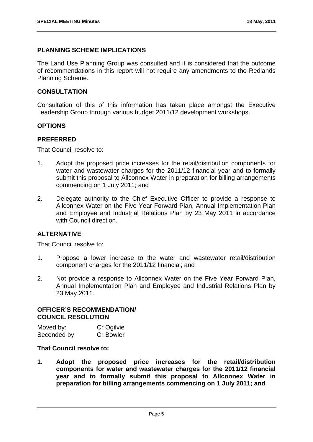#### **PLANNING SCHEME IMPLICATIONS**

The Land Use Planning Group was consulted and it is considered that the outcome of recommendations in this report will not require any amendments to the Redlands Planning Scheme.

#### **CONSULTATION**

Consultation of this of this information has taken place amongst the Executive Leadership Group through various budget 2011/12 development workshops.

#### **OPTIONS**

#### **PREFERRED**

That Council resolve to:

- 1. Adopt the proposed price increases for the retail/distribution components for water and wastewater charges for the 2011/12 financial year and to formally submit this proposal to Allconnex Water in preparation for billing arrangements commencing on 1 July 2011; and
- 2. Delegate authority to the Chief Executive Officer to provide a response to Allconnex Water on the Five Year Forward Plan, Annual Implementation Plan and Employee and Industrial Relations Plan by 23 May 2011 in accordance with Council direction

#### **ALTERNATIVE**

That Council resolve to:

- 1. Propose a lower increase to the water and wastewater retail/distribution component charges for the 2011/12 financial; and
- 2. Not provide a response to Allconnex Water on the Five Year Forward Plan, Annual Implementation Plan and Employee and Industrial Relations Plan by 23 May 2011.

#### **OFFICER'S RECOMMENDATION/ COUNCIL RESOLUTION**

| Moved by:    | Cr Ogilvie       |
|--------------|------------------|
| Seconded by: | <b>Cr Bowler</b> |

#### **That Council resolve to:**

**1. Adopt the proposed price increases for the retail/distribution components for water and wastewater charges for the 2011/12 financial year and to formally submit this proposal to Allconnex Water in preparation for billing arrangements commencing on 1 July 2011; and**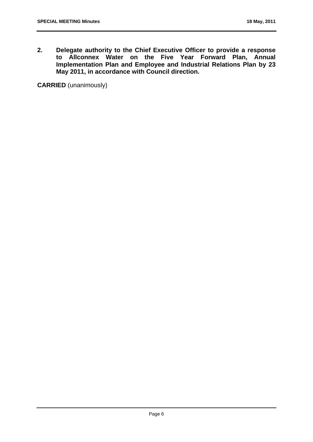**2. Delegate authority to the Chief Executive Officer to provide a response to Allconnex Water on the Five Year Forward Plan, Annual Implementation Plan and Employee and Industrial Relations Plan by 23 May 2011, in accordance with Council direction.** 

**CARRIED** (unanimously)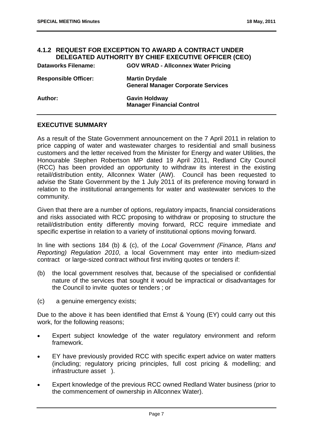#### <span id="page-8-0"></span>**4.1.2 REQUEST FOR EXCEPTION TO AWARD A CONTRACT UNDER DELEGATED AUTHORITY BY CHIEF EXECUTIVE OFFICER (CEO)**

| <b>Dataworks Filename:</b>  | <b>GOV WRAD - Allconnex Water Pricing</b>                          |
|-----------------------------|--------------------------------------------------------------------|
| <b>Responsible Officer:</b> | <b>Martin Drydale</b><br><b>General Manager Corporate Services</b> |
| Author:                     | <b>Gavin Holdway</b><br><b>Manager Financial Control</b>           |

#### **EXECUTIVE SUMMARY**

As a result of the State Government announcement on the 7 April 2011 in relation to price capping of water and wastewater charges to residential and small business customers and the letter received from the Minister for Energy and water Utilities, the Honourable Stephen Robertson MP dated 19 April 2011, Redland City Council (RCC) has been provided an opportunity to withdraw its interest in the existing retail/distribution entity, Allconnex Water (AW). Council has been requested to advise the State Government by the 1 July 2011 of its preference moving forward in relation to the institutional arrangements for water and wastewater services to the community.

Given that there are a number of options, regulatory impacts, financial considerations and risks associated with RCC proposing to withdraw or proposing to structure the retail/distribution entity differently moving forward, RCC require immediate and specific expertise in relation to a variety of institutional options moving forward.

In line with sections 184 (b) & (c), of the *Local Government (Finance, Plans and Reporting) Regulation 2010*, a local Government may enter into medium-sized contract or large-sized contract without first inviting quotes or tenders if:

- (b) the local government resolves that, because of the specialised or confidential nature of the services that sought it would be impractical or disadvantages for the Council to invite quotes or tenders ; or
- (c) a genuine emergency exists;

Due to the above it has been identified that Ernst & Young (EY) could carry out this work, for the following reasons;

- Expert subject knowledge of the water regulatory environment and reform framework.
- EY have previously provided RCC with specific expert advice on water matters (including; regulatory pricing principles, full cost pricing & modelling; and infrastructure asset ).
- Expert knowledge of the previous RCC owned Redland Water business (prior to the commencement of ownership in Allconnex Water).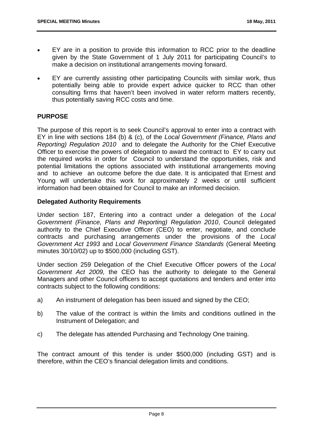- EY are in a position to provide this information to RCC prior to the deadline given by the State Government of 1 July 2011 for participating Council's to make a decision on institutional arrangements moving forward.
- EY are currently assisting other participating Councils with similar work, thus potentially being able to provide expert advice quicker to RCC than other consulting firms that haven't been involved in water reform matters recently, thus potentially saving RCC costs and time.

#### **PURPOSE**

The purpose of this report is to seek Council's approval to enter into a contract with EY in line with sections 184 (b) & (c), of the *Local Government (Finance, Plans and Reporting) Regulation 2010* and to delegate the Authority for the Chief Executive Officer to exercise the powers of delegation to award the contract to EY to carry out the required works in order for Council to understand the opportunities, risk and potential limitations the options associated with institutional arrangements moving and to achieve an outcome before the due date. It is anticipated that Ernest and Young will undertake this work for approximately 2 weeks or until sufficient information had been obtained for Council to make an informed decision.

#### **Delegated Authority Requirements**

Under section 187, Entering into a contract under a delegation of the *Local Government (Finance, Plans and Reporting) Regulation 2010*, Council delegated authority to the Chief Executive Officer (CEO) to enter, negotiate, and conclude contracts and purchasing arrangements under the provisions of the *Local Government Act 1993* and *Local Government Finance Standards* (General Meeting minutes 30/10/02) up to \$500,000 (including GST).

Under section 259 Delegation of the Chief Executive Officer powers of the *Local Government Act 2009,* the CEO has the authority to delegate to the General Managers and other Council officers to accept quotations and tenders and enter into contracts subject to the following conditions:

- a) An instrument of delegation has been issued and signed by the CEO;
- b) The value of the contract is within the limits and conditions outlined in the Instrument of Delegation; and
- c) The delegate has attended Purchasing and Technology One training.

The contract amount of this tender is under \$500,000 (including GST) and is therefore, within the CEO's financial delegation limits and conditions.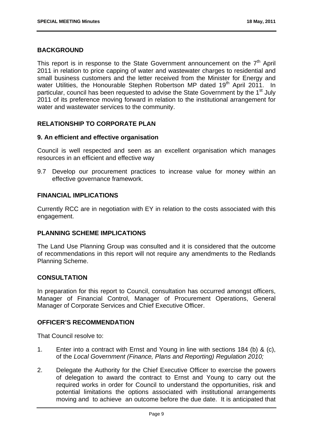#### **BACKGROUND**

This report is in response to the State Government announcement on the  $7<sup>th</sup>$  April 2011 in relation to price capping of water and wastewater charges to residential and small business customers and the letter received from the Minister for Energy and water Utilities, the Honourable Stephen Robertson MP dated 19<sup>th</sup> April 2011. In particular, council has been requested to advise the State Government by the 1<sup>st</sup> July 2011 of its preference moving forward in relation to the institutional arrangement for water and wastewater services to the community.

#### **RELATIONSHIP TO CORPORATE PLAN**

#### **9. An efficient and effective organisation**

Council is well respected and seen as an excellent organisation which manages resources in an efficient and effective way

9.7 Develop our procurement practices to increase value for money within an effective governance framework.

#### **FINANCIAL IMPLICATIONS**

Currently RCC are in negotiation with EY in relation to the costs associated with this engagement.

#### **PLANNING SCHEME IMPLICATIONS**

The Land Use Planning Group was consulted and it is considered that the outcome of recommendations in this report will not require any amendments to the Redlands Planning Scheme.

#### **CONSULTATION**

In preparation for this report to Council, consultation has occurred amongst officers, Manager of Financial Control, Manager of Procurement Operations, General Manager of Corporate Services and Chief Executive Officer.

#### **OFFICER'S RECOMMENDATION**

That Council resolve to:

- 1. Enter into a contract with Ernst and Young in line with sections 184 (b) & (c), of the *Local Government (Finance, Plans and Reporting) Regulation 2010;*
- 2. Delegate the Authority for the Chief Executive Officer to exercise the powers of delegation to award the contract to Ernst and Young to carry out the required works in order for Council to understand the opportunities, risk and potential limitations the options associated with institutional arrangements moving and to achieve an outcome before the due date. It is anticipated that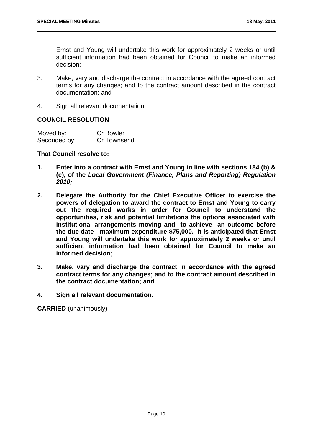Ernst and Young will undertake this work for approximately 2 weeks or until sufficient information had been obtained for Council to make an informed decision;

- 3. Make, vary and discharge the contract in accordance with the agreed contract terms for any changes; and to the contract amount described in the contract documentation; and
- 4. Sign all relevant documentation.

#### **COUNCIL RESOLUTION**

| Moved by:    | <b>Cr Bowler</b> |
|--------------|------------------|
| Seconded by: | Cr Townsend      |

#### **That Council resolve to:**

- **1. Enter into a contract with Ernst and Young in line with sections 184 (b) & (c), of the** *Local Government (Finance, Plans and Reporting) Regulation 2010;*
- **2. Delegate the Authority for the Chief Executive Officer to exercise the powers of delegation to award the contract to Ernst and Young to carry out the required works in order for Council to understand the opportunities, risk and potential limitations the options associated with institutional arrangements moving and to achieve an outcome before the due date - maximum expenditure \$75,000. It is anticipated that Ernst and Young will undertake this work for approximately 2 weeks or until sufficient information had been obtained for Council to make an informed decision;**
- **3. Make, vary and discharge the contract in accordance with the agreed contract terms for any changes; and to the contract amount described in the contract documentation; and**
- **4. Sign all relevant documentation.**

**CARRIED** (unanimously)